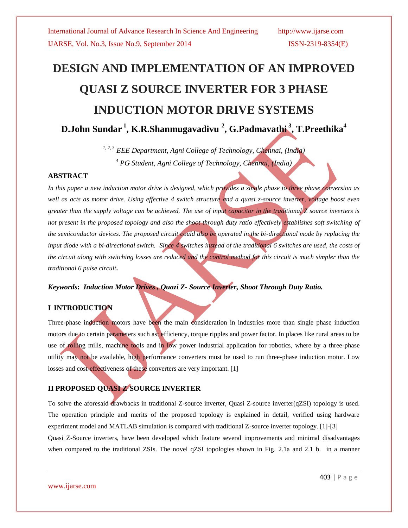# **DESIGN AND IMPLEMENTATION OF AN IMPROVED QUASI Z SOURCE INVERTER FOR 3 PHASE INDUCTION MOTOR DRIVE SYSTEMS D.John Sundar <sup>1</sup> , K.R.Shanmugavadivu <sup>2</sup> , G.Padmavathi <sup>3</sup> , T.Preethika<sup>4</sup>**

*1, 2, 3 EEE Department, Agni College of Technology, Chennai, (India) <sup>4</sup> PG Student, Agni College of Technology, Chennai, (India)*

### **ABSTRACT**

*In this paper a new induction motor drive is designed, which provides a single phase to three phase conversion as*  well as acts as motor drive. Using effective 4 switch structure and a quasi z-source inverter, voltage boost even *greater than the supply voltage can be achieved. The use of input capacitor in the traditional Z source inverters is not present in the proposed topology and also the shoot through duty ratio effectively establishes soft switching of the semiconductor devices. The proposed circuit could also be operated in the bi-directional mode by replacing the input diode with a bi-directional switch. Since 4 switches instead of the traditional 6 switches are used, the costs of the circuit along with switching losses are reduced and the control method for this circuit is much simpler than the traditional 6 pulse circuit***.**

# *Keywords***:** *Induction Motor Drives , Quazi Z- Source Inverter, Shoot Through Duty Ratio.*

# **I INTRODUCTION**

Three-phase induction motors have been the main consideration in industries more than single phase induction motors due to certain parameters such as; efficiency, torque ripples and power factor. In places like rural areas to be use of rolling mills, machine tools and in low power industrial application for robotics, where by a three-phase utility may not be available, high performance converters must be used to run three-phase induction motor. Low losses and cost-effectiveness of these converters are very important. [1]

# **II PROPOSED QUASI Z-SOURCE INVERTER**

To solve the aforesaid drawbacks in traditional Z-source inverter, Quasi Z-source inverter(qZSI) topology is used. The operation principle and merits of the proposed topology is explained in detail, verified using hardware experiment model and MATLAB simulation is compared with traditional Z-source inverter topology. [1]-[3]

Quasi Z-Source inverters, have been developed which feature several improvements and minimal disadvantages when compared to the traditional ZSIs. The novel qZSI topologies shown in Fig. 2.1a and 2.1 b. in a manner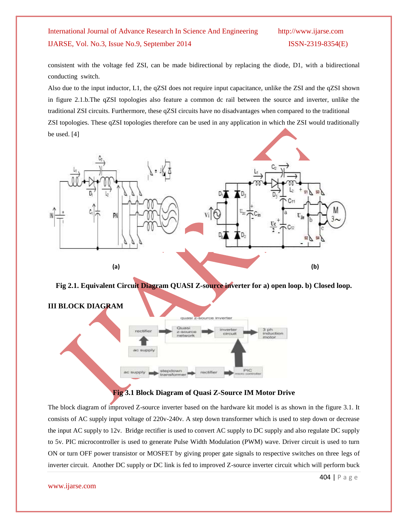consistent with the voltage fed ZSI, can be made bidirectional by replacing the diode, D1, with a bidirectional conducting switch.

Also due to the input inductor, L1, the qZSI does not require input capacitance, unlike the ZSI and the qZSI shown in figure 2.1.b.The qZSI topologies also feature a common dc rail between the source and inverter, unlike the traditional ZSI circuits. Furthermore, these qZSI circuits have no disadvantages when compared to the traditional ZSI topologies. These qZSI topologies therefore can be used in any application in which the ZSI would traditionally be used. [4]



**Fig 2.1. Equivalent Circuit Diagram QUASI Z-source inverter for a) open loop. b) Closed loop.**



# **Fig 3.1 Block Diagram of Quasi Z-Source IM Motor Drive**

The block diagram of improved Z-source inverter based on the hardware kit model is as shown in the figure 3.1. It consists of AC supply input voltage of 220v-240v. A step down transformer which is used to step down or decrease the input AC supply to 12v. Bridge rectifier is used to convert AC supply to DC supply and also regulate DC supply to 5v. PIC microcontroller is used to generate Pulse Width Modulation (PWM) wave. Driver circuit is used to turn ON or turn OFF power transistor or MOSFET by giving proper gate signals to respective switches on three legs of inverter circuit. Another DC supply or DC link is fed to improved Z-source inverter circuit which will perform buck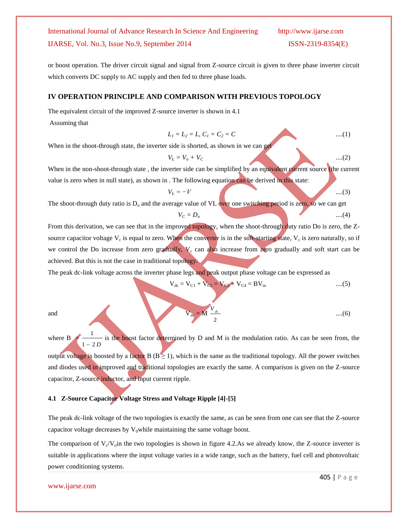or boost operation. The driver circuit signal and signal from Z-source circuit is given to three phase inverter circuit which converts DC supply to AC supply and then fed to three phase loads.

#### **IV OPERATION PRINCIPLE AND COMPARISON WITH PREVIOUS TOPOLOGY**

The equivalent circuit of the improved Z-source inverter is shown in 4.1

Assuming that

$$
L_1 = L_2 = L, C_1 = C_2 = C \qquad \qquad \dots (1)
$$

 $V_L = V_o + V_C$  .....(2)

When in the shoot-through state, the inverter side is shorted, as shown in we can get

When in the non-shoot-through state , the inverter side can be simplified by an equivalent current source (the current value is zero when in null state), as shown in . The following equation can be derived in this state:

$$
V_L = -V \qquad \qquad \dots (3)
$$

 $V_C = D_o$  ......(4)

The shoot-through duty ratio is  $D_0$  and the average value of VL over one switching period is zero, so we can get

From this derivation, we can see that in the improved topology, when the shoot-through duty ratio Do is zero, the Zsource capacitor voltage  $V_c$  is equal to zero. When the converter is in the soft-starting state,  $V_c$  is zero naturally, so if we control the Do increase from zero gradually,  $V_c$  can also increase from zero gradually and soft start can be achieved. But this is not the case in traditional topology.

The peak dc-link voltage across the inverter phase legs and peak output phase voltage can be expressed as

$$
V_{dc} = V_{C1} + V_{C2} = V_{C3} + V_{C4} = BV_{in}
$$
 ....(5)

1

and 
$$
V_{ac} = M \frac{V_{dc}}{2}
$$
 ....(6)

where  $B$  $1 - 2D$  $\overline{a}$ is the boost factor determined by D and M is the modulation ratio. As can be seen from, the output voltage is boosted by a factor B ( $B \ge 1$ ), which is the same as the traditional topology. All the power switches and diodes used in improved and traditional topologies are exactly the same. A comparison is given on the Z-source capacitor, Z-source inductor, and input current ripple.

#### **4.1 Z-Source Capacitor Voltage Stress and Voltage Ripple [4]-[5]**

The peak dc-link voltage of the two topologies is exactly the same, as can be seen from one can see that the Z-source capacitor voltage decreases by  $V_0$ while maintaining the same voltage boost.

The comparison of  $V_c/V_o$  in the two topologies is shown in figure 4.2.As we already know, the Z-source inverter is suitable in applications where the input voltage varies in a wide range, such as the battery, fuel cell and photovoltaic power conditioning systems.

#### www.ijarse.com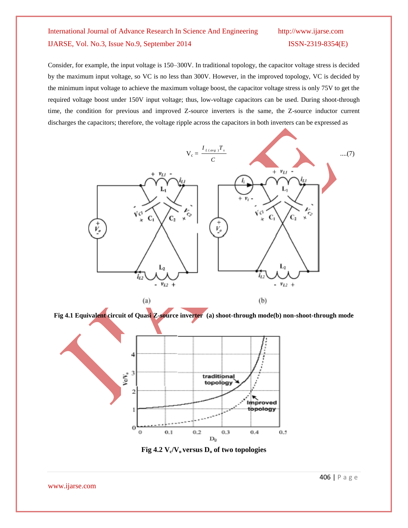Consider, for example, the input voltage is 150–300V. In traditional topology, the capacitor voltage stress is decided by the maximum input voltage, so VC is no less than 300V. However, in the improved topology, VC is decided by the minimum input voltage to achieve the maximum voltage boost, the capacitor voltage stress is only 75V to get the required voltage boost under 150V input voltage; thus, low-voltage capacitors can be used. During shoot-through time, the condition for previous and improved Z-source inverters is the same, the Z-source inductor current discharges the capacitors; therefore, the voltage ripple across the capacitors in both inverters can be expressed as



**Fig 4.1 Equivalent circuit of Quasi Z-source inverter (a) shoot-through mode(b) non-shoot-through mode**



**Fig 4.2 V<sup>c</sup> /Vo versus D<sup>o</sup> of two topologies**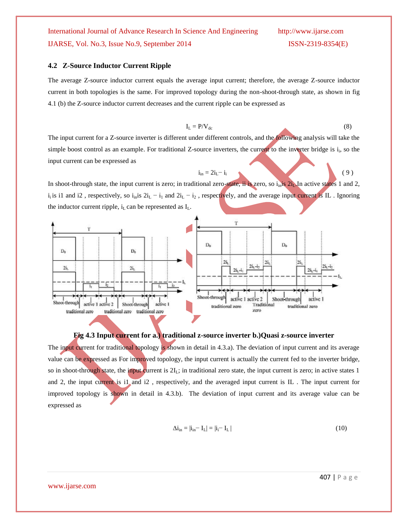#### **4.2 Z-Source Inductor Current Ripple**

The average Z-source inductor current equals the average input current; therefore, the average Z-source inductor current in both topologies is the same. For improved topology during the non-shoot-through state, as shown in fig 4.1 (b) the Z-source inductor current decreases and the current ripple can be expressed as

$$
I_{L} = P/V_{dc}
$$
 (8)

 $i_{in} = 2i_1 - i_i$  ( 9 )

The input current for a Z-source inverter is different under different controls, and the following analysis will take the simple boost control as an example. For traditional Z-source inverters, the current to the inverter bridge is  $i_i$ , so the input current can be expressed as

In shoot-through state, the input current is zero; in traditional zero-state, ii is zero, so  $i<sub>in</sub>$ is  $2i<sub>L</sub>$ . In active states 1 and 2,  $i_1$  is i1 and i2, respectively, so  $i_{in}$  is  $2i_L - i_1$  and  $2i_L - i_2$ , respectively, and the average input current is IL. Ignoring the inductor current ripple,  $i<sub>L</sub>$  can be represented as  $I<sub>L</sub>$ .



#### **Fig 4.3 Input current for a.) traditional z-source inverter b.)Quasi z-source inverter**

The input current for traditional topology is shown in detail in 4.3.a). The deviation of input current and its average value can be expressed as For improved topology, the input current is actually the current fed to the inverter bridge, so in shoot-through state, the input current is  $2I_L$ ; in traditional zero state, the input current is zero; in active states 1 and 2, the input current is i1 and i2 , respectively, and the averaged input current is IL . The input current for improved topology is shown in detail in 4.3.b). The deviation of input current and its average value can be expressed as

$$
\Delta \mathbf{i}_{\rm in} = |\mathbf{i}_{\rm in} - \mathbf{I}_{\rm L}| = |\mathbf{i}_{\rm i} - \mathbf{I}_{\rm L}| \tag{10}
$$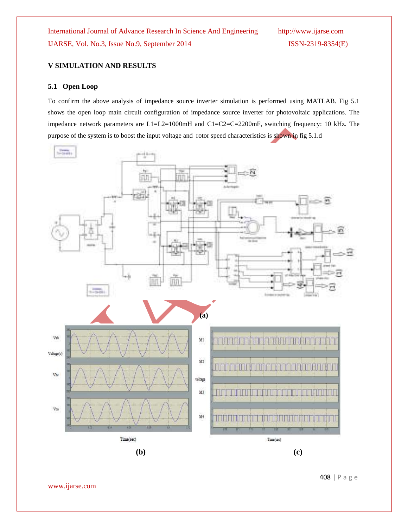www.ijarse.com



To confirm the above analysis of impedance source inverter simulation is performed using MATLAB. Fig 5.1 shows the open loop main circuit configuration of impedance source inverter for photovoltaic applications. The impedance network parameters are L1=L2=1000mH and C1=C2=C=2200mF, switching frequency: 10 kHz. The

purpose of the system is to boost the input voltage and rotor speed characteristics is shown in fig 5.1.d

IJARSE, Vol. No.3, Issue No.9, September 2014 ISSN-2319-8354(E)

**V SIMULATION AND RESULTS**

**5.1 Open Loop**

International Journal of Advance Research In Science And Engineering http://www.ijarse.com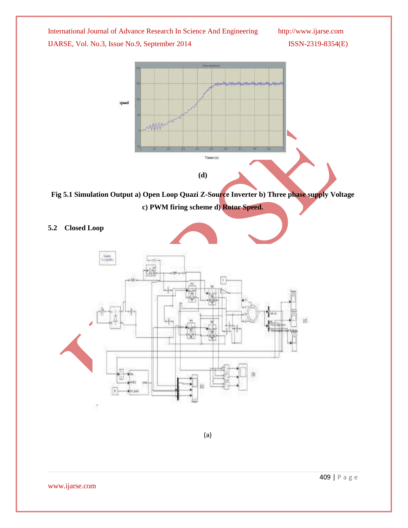



**Fig 5.1 Simulation Output a) Open Loop Quazi Z-Source Inverter b) Three phase supply Voltage c) PWM firing scheme d) Rotor Speed.** 

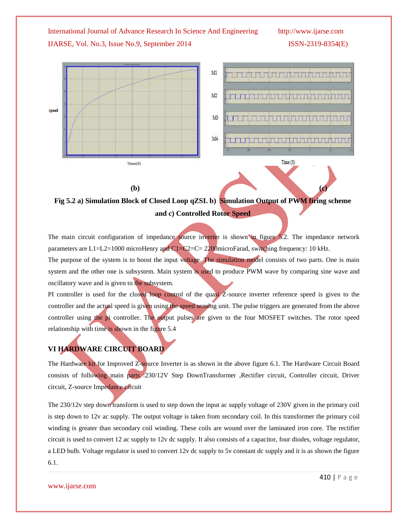

**Fig 5.2 a) Simulation Block of Closed Loop qZSI. b) Simulation Output of PWM firing scheme and c) Controlled Rotor Speed**

The main circuit configuration of impedance source inverter is shown in figure 5.2. The impedance network parameters are L1=L2=1000 microHenry and C1=C2=C= 2200microFarad, switching frequency: 10 kHz. The purpose of the system is to boost the input voltage. The simulation model consists of two parts. One is main system and the other one is subsystem. Main system is used to produce PWM wave by comparing sine wave and oscillatory wave and is given to the subsystem.

PI controller is used for the closed loop control of the quasi Z-source inverter reference speed is given to the controller and the actual speed is given using the speed sensing unit. The pulse triggers are generated from the above controller using the pi controller. The output pulses are given to the four MOSFET switches. The rotor speed relationship with time is shown in the figure 5.4

# **VI HARDWARE CIRCUIT BOARD**

The Hardware kit for Improved Z-source Inverter is as shown in the above figure 6.1. The Hardware Circuit Board consists of following main parts :230/12V Step DownTransformer ,Rectifier circuit, Controller circuit, Driver circuit, Z-source Impedance circuit

The 230/12v step down transform is used to step down the input ac supply voltage of 230V given in the primary coil is step down to 12v ac supply. The output voltage is taken from secondary coil. In this transformer the primary coil winding is greater than secondary coil winding. These coils are wound over the laminated iron core. The rectifier circuit is used to convert 12 ac supply to 12v dc supply. It also consists of a capacitor, four diodes, voltage regulator, a LED bulb. Voltage regulator is used to convert 12v dc supply to 5v constant dc supply and it is as shown the figure 6.1.

www.ijarse.com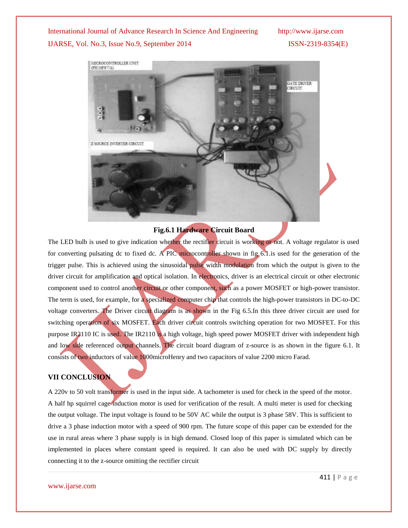

#### **Fig.6.1 Hardware Circuit Board**

The LED bulb is used to give indication whether the rectifier circuit is working or not. A voltage regulator is used for converting pulsating dc to fixed dc. A PIC microcontroller shown in fig. 6.1 is used for the generation of the trigger pulse. This is achieved using the sinusoidal pulse width modulation from which the output is given to the driver circuit for amplification and optical isolation. In electronics, driver is an electrical circuit or other electronic component used to control another circuit or other component, such as a power MOSFET or high-power transistor. The term is used, for example, for a specialized computer chip that controls the high-power transistors in DC-to-DC voltage converters. The Driver circuit diagram is as shown in the Fig 6.5.In this three driver circuit are used for switching operation of six MOSFET. Each driver circuit controls switching operation for two MOSFET. For this purpose IR2110 IC is used. The IR2110 is a high voltage, high speed power MOSFET driver with independent high and low side referenced output channels. The circuit board diagram of z-source is as shown in the figure 6.1. It consists of two inductors of value 1000microHenry and two capacitors of value 2200 micro Farad.

### **VII CONCLUSION**

A 220v to 50 volt transformer is used in the input side. A tachometer is used for check in the speed of the motor. A half hp squirrel cage induction motor is used for verification of the result. A multi meter is used for checking the output voltage. The input voltage is found to be 50V AC while the output is 3 phase 58V. This is sufficient to drive a 3 phase induction motor with a speed of 900 rpm. The future scope of this paper can be extended for the use in rural areas where 3 phase supply is in high demand. Closed loop of this paper is simulated which can be implemented in places where constant speed is required. It can also be used with DC supply by directly connecting it to the z-source omitting the rectifier circuit